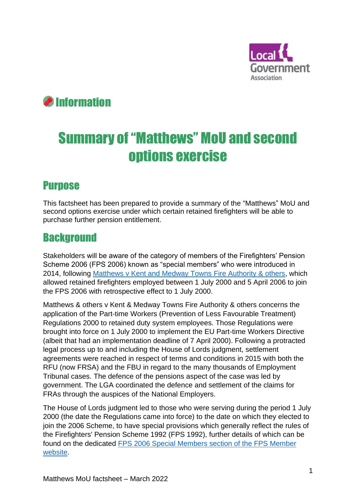

# Information

# Summary of "Matthews" MoU and second options exercise

# **Purpose**

This factsheet has been prepared to provide a summary of the "Matthews" MoU and second options exercise under which certain retained firefighters will be able to purchase further pension entitlement.

#### Background

Stakeholders will be aware of the category of members of the Firefighters' Pension Scheme 2006 (FPS 2006) known as "special members" who were introduced in 2014, following [Matthews v Kent and Medway Towns](http://www.bailii.org/uk/cases/UKHL/2006/8.html) Fire Authority & others, which allowed retained firefighters employed between 1 July 2000 and 5 April 2006 to join the FPS 2006 with retrospective effect to 1 July 2000.

Matthews & others v Kent & Medway Towns Fire Authority & others concerns the application of the Part-time Workers (Prevention of Less Favourable Treatment) Regulations 2000 to retained duty system employees. Those Regulations were brought into force on 1 July 2000 to implement the EU Part-time Workers Directive (albeit that had an implementation deadline of 7 April 2000). Following a protracted legal process up to and including the House of Lords judgment, settlement agreements were reached in respect of terms and conditions in 2015 with both the RFU (now FRSA) and the FBU in regard to the many thousands of Employment Tribunal cases. The defence of the pensions aspect of the case was led by government. The LGA coordinated the defence and settlement of the claims for FRAs through the auspices of the National Employers.

The House of Lords judgment led to those who were serving during the period 1 July 2000 (the date the Regulations came into force) to the date on which they elected to join the 2006 Scheme, to have special provisions which generally reflect the rules of the Firefighters' Pension Scheme 1992 (FPS 1992), further details of which can be found on the dedicated [FPS 2006 Special Members section of the FPS Member](https://fpsmember.org/fps-2006-special-members)  [website.](https://fpsmember.org/fps-2006-special-members)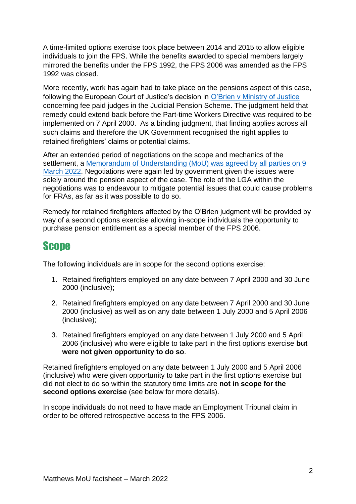A time-limited options exercise took place between 2014 and 2015 to allow eligible individuals to join the FPS. While the benefits awarded to special members largely mirrored the benefits under the FPS 1992, the FPS 2006 was amended as the FPS 1992 was closed.

More recently, work has again had to take place on the pensions aspect of this case, following the European Court of Justice's decision in [O'Brien v Ministry of Justice](https://www.bailii.org/eu/cases/EUECJ/2018/C43217.html) concerning fee paid judges in the Judicial Pension Scheme. The judgment held that remedy could extend back before the Part-time Workers Directive was required to be implemented on 7 April 2000. As a binding judgment, that finding applies across all such claims and therefore the UK Government recognised the right applies to retained firefighters' claims or potential claims.

After an extended period of negotiations on the scope and mechanics of the settlement, a [Memorandum of Understanding \(MoU\) was agreed by all parties on 9](https://www.fpsregs.org/images/RDS/RDS-Matthews-Memorandum-of-Understanding-9-March-2022.pdf)  [March 2022.](https://www.fpsregs.org/images/RDS/RDS-Matthews-Memorandum-of-Understanding-9-March-2022.pdf) Negotiations were again led by government given the issues were solely around the pension aspect of the case. The role of the LGA within the negotiations was to endeavour to mitigate potential issues that could cause problems for FRAs, as far as it was possible to do so.

Remedy for retained firefighters affected by the O'Brien judgment will be provided by way of a second options exercise allowing in-scope individuals the opportunity to purchase pension entitlement as a special member of the FPS 2006.

#### **Scope**

The following individuals are in scope for the second options exercise:

- 1. Retained firefighters employed on any date between 7 April 2000 and 30 June 2000 (inclusive);
- 2. Retained firefighters employed on any date between 7 April 2000 and 30 June 2000 (inclusive) as well as on any date between 1 July 2000 and 5 April 2006 (inclusive);
- 3. Retained firefighters employed on any date between 1 July 2000 and 5 April 2006 (inclusive) who were eligible to take part in the first options exercise **but were not given opportunity to do so**.

Retained firefighters employed on any date between 1 July 2000 and 5 April 2006 (inclusive) who were given opportunity to take part in the first options exercise but did not elect to do so within the statutory time limits are **not in scope for the second options exercise** (see below for more details).

In scope individuals do not need to have made an Employment Tribunal claim in order to be offered retrospective access to the FPS 2006.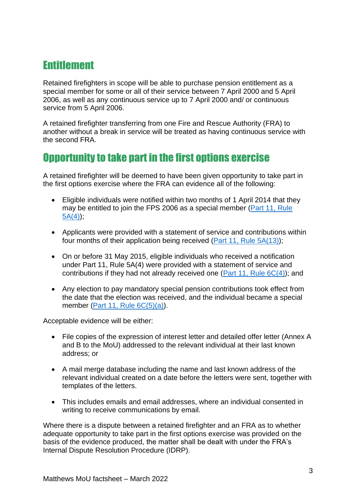# Entitlement

Retained firefighters in scope will be able to purchase pension entitlement as a special member for some or all of their service between 7 April 2000 and 5 April 2006, as well as any continuous service up to 7 April 2000 and/ or continuous service from 5 April 2006.

A retained firefighter transferring from one Fire and Rescue Authority (FRA) to another without a break in service will be treated as having continuous service with the second FRA.

#### Opportunity to take part in the first options exercise

A retained firefighter will be deemed to have been given opportunity to take part in the first options exercise where the FRA can evidence all of the following:

- Eligible individuals were notified within two months of 1 April 2014 that they may be entitled to join the FPS 2006 as a special member (Part 11, Rule  $5A(4)$ ;
- Applicants were provided with a statement of service and contributions within four months of their application being received [\(Part 11, Rule 5A\(13\)\)](https://www.legislation.gov.uk/uksi/2014/445/schedule/paragraph/10/made);
- On or before 31 May 2015, eligible individuals who received a notification under Part 11, Rule 5A(4) were provided with a statement of service and contributions if they had not already received one [\(Part 11, Rule 6C\(4\)\)](https://www.legislation.gov.uk/uksi/2015/590/schedule/2/paragraph/3/made); and
- Any election to pay mandatory special pension contributions took effect from the date that the election was received, and the individual became a special member [\(Part 11, Rule 6C\(5\)\(a\)\)](https://www.legislation.gov.uk/uksi/2015/590/schedule/2/paragraph/3/made).

Acceptable evidence will be either:

- File copies of the expression of interest letter and detailed offer letter (Annex A and B to the MoU) addressed to the relevant individual at their last known address; or
- A mail merge database including the name and last known address of the relevant individual created on a date before the letters were sent, together with templates of the letters.
- This includes emails and email addresses, where an individual consented in writing to receive communications by email.

Where there is a dispute between a retained firefighter and an FRA as to whether adequate opportunity to take part in the first options exercise was provided on the basis of the evidence produced, the matter shall be dealt with under the FRA's Internal Dispute Resolution Procedure (IDRP).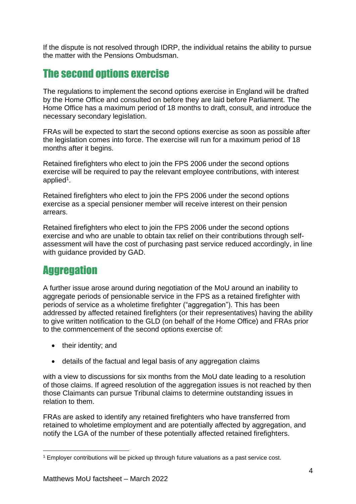If the dispute is not resolved through IDRP, the individual retains the ability to pursue the matter with the Pensions Ombudsman.

#### The second options exercise

The regulations to implement the second options exercise in England will be drafted by the Home Office and consulted on before they are laid before Parliament. The Home Office has a maximum period of 18 months to draft, consult, and introduce the necessary secondary legislation.

FRAs will be expected to start the second options exercise as soon as possible after the legislation comes into force. The exercise will run for a maximum period of 18 months after it begins.

Retained firefighters who elect to join the FPS 2006 under the second options exercise will be required to pay the relevant employee contributions, with interest applied<sup>1</sup>.

Retained firefighters who elect to join the FPS 2006 under the second options exercise as a special pensioner member will receive interest on their pension arrears.

Retained firefighters who elect to join the FPS 2006 under the second options exercise and who are unable to obtain tax relief on their contributions through selfassessment will have the cost of purchasing past service reduced accordingly, in line with guidance provided by GAD.

# **Aggregation**

A further issue arose around during negotiation of the MoU around an inability to aggregate periods of pensionable service in the FPS as a retained firefighter with periods of service as a wholetime firefighter ("aggregation"). This has been addressed by affected retained firefighters (or their representatives) having the ability to give written notification to the GLD (on behalf of the Home Office) and FRAs prior to the commencement of the second options exercise of:

- their identity; and
- details of the factual and legal basis of any aggregation claims

with a view to discussions for six months from the MoU date leading to a resolution of those claims. If agreed resolution of the aggregation issues is not reached by then those Claimants can pursue Tribunal claims to determine outstanding issues in relation to them.

FRAs are asked to identify any retained firefighters who have transferred from retained to wholetime employment and are potentially affected by aggregation, and notify the LGA of the number of these potentially affected retained firefighters.

<sup>1</sup> Employer contributions will be picked up through future valuations as a past service cost.